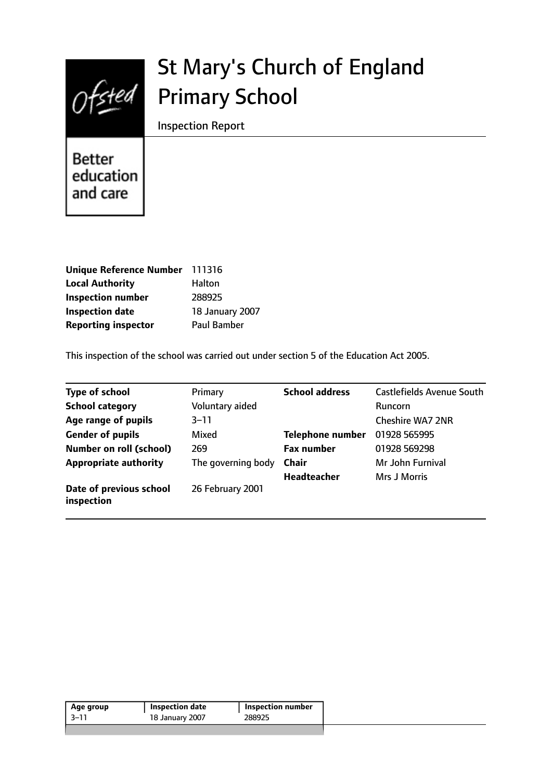

# St Mary's Church of England Primary School

Inspection Report

Better education and care

| Unique Reference Number 111316 |                        |
|--------------------------------|------------------------|
| <b>Local Authority</b>         | <b>Halton</b>          |
| <b>Inspection number</b>       | 288925                 |
| <b>Inspection date</b>         | <b>18 January 2007</b> |
| <b>Reporting inspector</b>     | Paul Bamber            |

This inspection of the school was carried out under section 5 of the Education Act 2005.

| <b>Type of school</b>                 | Primary            | <b>School address</b>   | <b>Castlefields Avenue South</b> |
|---------------------------------------|--------------------|-------------------------|----------------------------------|
| <b>School category</b>                | Voluntary aided    |                         | Runcorn                          |
| Age range of pupils                   | $3 - 11$           |                         | <b>Cheshire WA7 2NR</b>          |
| <b>Gender of pupils</b>               | Mixed              | <b>Telephone number</b> | 01928 565995                     |
| <b>Number on roll (school)</b>        | 269                | <b>Fax number</b>       | 01928 569298                     |
| <b>Appropriate authority</b>          | The governing body | <b>Chair</b>            | Mr John Furnival                 |
|                                       |                    | Headteacher             | <b>Mrs J Morris</b>              |
| Date of previous school<br>inspection | 26 February 2001   |                         |                                  |

| 18 January 2007<br>-3–11<br>288925 | Age group | <b>Inspection date</b> | <b>Inspection number</b> |
|------------------------------------|-----------|------------------------|--------------------------|
|                                    |           |                        |                          |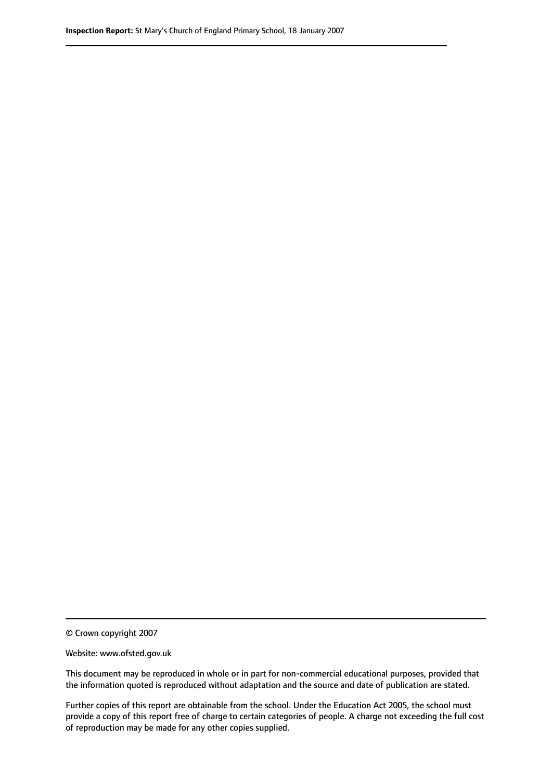© Crown copyright 2007

Website: www.ofsted.gov.uk

This document may be reproduced in whole or in part for non-commercial educational purposes, provided that the information quoted is reproduced without adaptation and the source and date of publication are stated.

Further copies of this report are obtainable from the school. Under the Education Act 2005, the school must provide a copy of this report free of charge to certain categories of people. A charge not exceeding the full cost of reproduction may be made for any other copies supplied.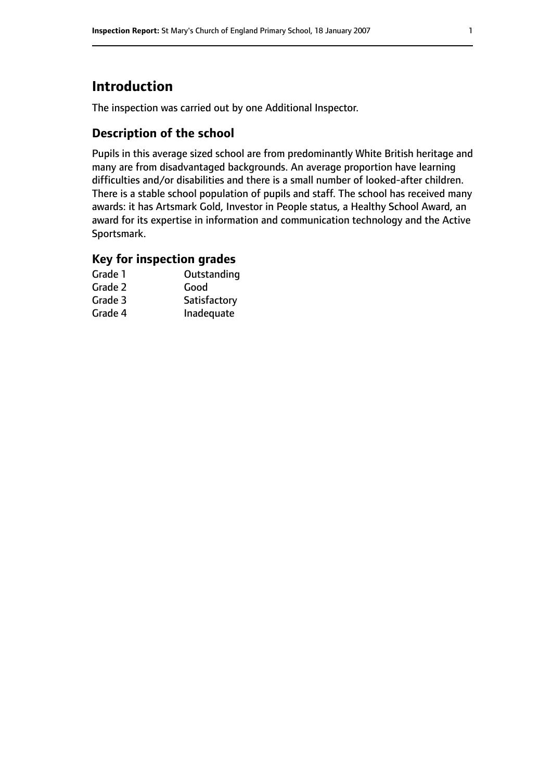# **Introduction**

The inspection was carried out by one Additional Inspector.

# **Description of the school**

Pupils in this average sized school are from predominantly White British heritage and many are from disadvantaged backgrounds. An average proportion have learning difficulties and/or disabilities and there is a small number of looked-after children. There is a stable school population of pupils and staff. The school has received many awards: it has Artsmark Gold, Investor in People status, a Healthy School Award, an award for its expertise in information and communication technology and the Active Sportsmark.

# **Key for inspection grades**

| Grade 1 | Outstanding  |
|---------|--------------|
| Grade 2 | Good         |
| Grade 3 | Satisfactory |
| Grade 4 | Inadequate   |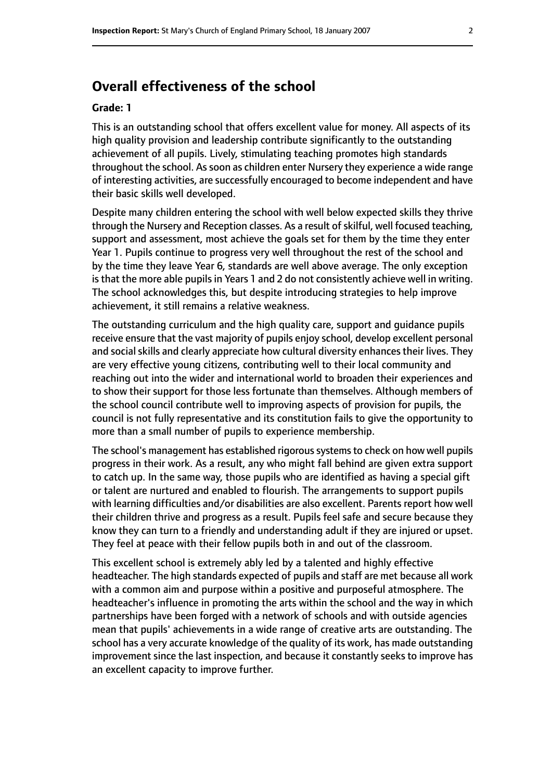# **Overall effectiveness of the school**

#### **Grade: 1**

This is an outstanding school that offers excellent value for money. All aspects of its high quality provision and leadership contribute significantly to the outstanding achievement of all pupils. Lively, stimulating teaching promotes high standards throughout the school. As soon as children enter Nursery they experience a wide range of interesting activities, are successfully encouraged to become independent and have their basic skills well developed.

Despite many children entering the school with well below expected skills they thrive through the Nursery and Reception classes. As a result of skilful, well focused teaching, support and assessment, most achieve the goals set for them by the time they enter Year 1. Pupils continue to progress very well throughout the rest of the school and by the time they leave Year 6, standards are well above average. The only exception is that the more able pupils in Years 1 and 2 do not consistently achieve well in writing. The school acknowledges this, but despite introducing strategies to help improve achievement, it still remains a relative weakness.

The outstanding curriculum and the high quality care, support and guidance pupils receive ensure that the vast majority of pupils enjoy school, develop excellent personal and social skills and clearly appreciate how cultural diversity enhances their lives. They are very effective young citizens, contributing well to their local community and reaching out into the wider and international world to broaden their experiences and to show their support for those less fortunate than themselves. Although members of the school council contribute well to improving aspects of provision for pupils, the council is not fully representative and its constitution fails to give the opportunity to more than a small number of pupils to experience membership.

The school's management has established rigorous systems to check on how well pupils progress in their work. As a result, any who might fall behind are given extra support to catch up. In the same way, those pupils who are identified as having a special gift or talent are nurtured and enabled to flourish. The arrangements to support pupils with learning difficulties and/or disabilities are also excellent. Parents report how well their children thrive and progress as a result. Pupils feel safe and secure because they know they can turn to a friendly and understanding adult if they are injured or upset. They feel at peace with their fellow pupils both in and out of the classroom.

This excellent school is extremely ably led by a talented and highly effective headteacher. The high standards expected of pupils and staff are met because all work with a common aim and purpose within a positive and purposeful atmosphere. The headteacher's influence in promoting the arts within the school and the way in which partnerships have been forged with a network of schools and with outside agencies mean that pupils' achievements in a wide range of creative arts are outstanding. The school has a very accurate knowledge of the quality of its work, has made outstanding improvement since the last inspection, and because it constantly seeks to improve has an excellent capacity to improve further.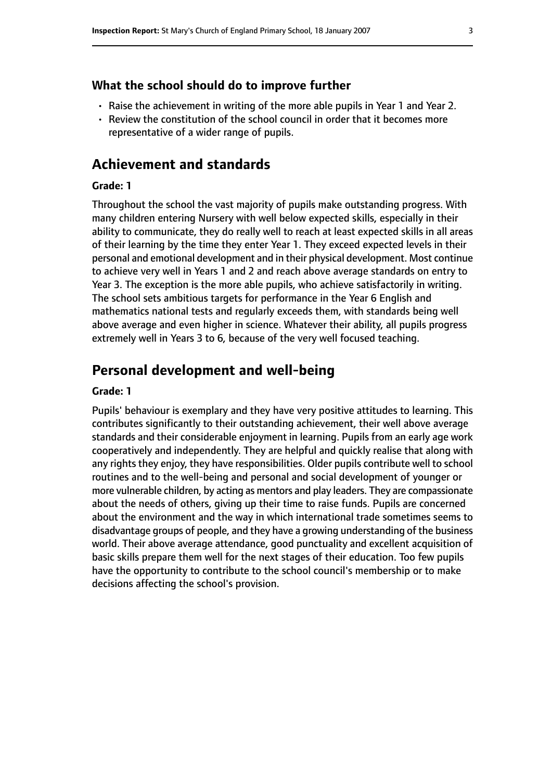#### **What the school should do to improve further**

- Raise the achievement in writing of the more able pupils in Year 1 and Year 2.
- Review the constitution of the school council in order that it becomes more representative of a wider range of pupils.

# **Achievement and standards**

#### **Grade: 1**

Throughout the school the vast majority of pupils make outstanding progress. With many children entering Nursery with well below expected skills, especially in their ability to communicate, they do really well to reach at least expected skills in all areas of their learning by the time they enter Year 1. They exceed expected levels in their personal and emotional development and in their physical development. Most continue to achieve very well in Years 1 and 2 and reach above average standards on entry to Year 3. The exception is the more able pupils, who achieve satisfactorily in writing. The school sets ambitious targets for performance in the Year 6 English and mathematics national tests and regularly exceeds them, with standards being well above average and even higher in science. Whatever their ability, all pupils progress extremely well in Years 3 to 6, because of the very well focused teaching.

# **Personal development and well-being**

#### **Grade: 1**

Pupils' behaviour is exemplary and they have very positive attitudes to learning. This contributes significantly to their outstanding achievement, their well above average standards and their considerable enjoyment in learning. Pupils from an early age work cooperatively and independently. They are helpful and quickly realise that along with any rights they enjoy, they have responsibilities. Older pupils contribute well to school routines and to the well-being and personal and social development of younger or more vulnerable children, by acting as mentors and play leaders. They are compassionate about the needs of others, giving up their time to raise funds. Pupils are concerned about the environment and the way in which international trade sometimes seems to disadvantage groups of people, and they have a growing understanding of the business world. Their above average attendance, good punctuality and excellent acquisition of basic skills prepare them well for the next stages of their education. Too few pupils have the opportunity to contribute to the school council's membership or to make decisions affecting the school's provision.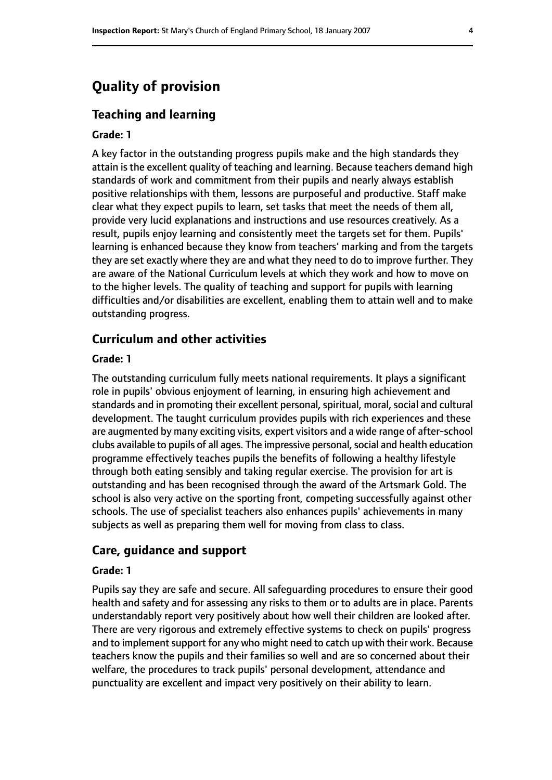# **Quality of provision**

### **Teaching and learning**

#### **Grade: 1**

A key factor in the outstanding progress pupils make and the high standards they attain is the excellent quality of teaching and learning. Because teachers demand high standards of work and commitment from their pupils and nearly always establish positive relationships with them, lessons are purposeful and productive. Staff make clear what they expect pupils to learn, set tasks that meet the needs of them all, provide very lucid explanations and instructions and use resources creatively. As a result, pupils enjoy learning and consistently meet the targets set for them. Pupils' learning is enhanced because they know from teachers' marking and from the targets they are set exactly where they are and what they need to do to improve further. They are aware of the National Curriculum levels at which they work and how to move on to the higher levels. The quality of teaching and support for pupils with learning difficulties and/or disabilities are excellent, enabling them to attain well and to make outstanding progress.

# **Curriculum and other activities**

#### **Grade: 1**

The outstanding curriculum fully meets national requirements. It plays a significant role in pupils' obvious enjoyment of learning, in ensuring high achievement and standards and in promoting their excellent personal, spiritual, moral, social and cultural development. The taught curriculum provides pupils with rich experiences and these are augmented by many exciting visits, expert visitors and a wide range of after-school clubs available to pupils of all ages. The impressive personal, social and health education programme effectively teaches pupils the benefits of following a healthy lifestyle through both eating sensibly and taking regular exercise. The provision for art is outstanding and has been recognised through the award of the Artsmark Gold. The school is also very active on the sporting front, competing successfully against other schools. The use of specialist teachers also enhances pupils' achievements in many subjects as well as preparing them well for moving from class to class.

#### **Care, guidance and support**

#### **Grade: 1**

Pupils say they are safe and secure. All safeguarding procedures to ensure their good health and safety and for assessing any risks to them or to adults are in place. Parents understandably report very positively about how well their children are looked after. There are very rigorous and extremely effective systems to check on pupils' progress and to implement support for any who might need to catch up with their work. Because teachers know the pupils and their families so well and are so concerned about their welfare, the procedures to track pupils' personal development, attendance and punctuality are excellent and impact very positively on their ability to learn.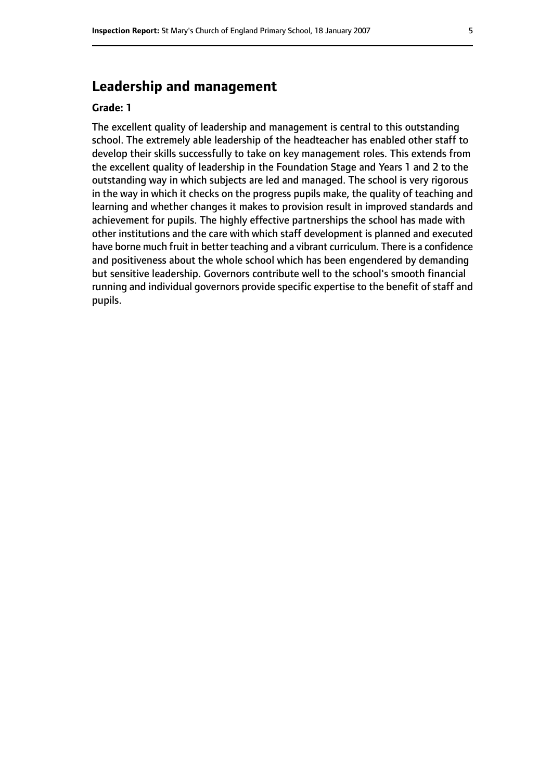# **Leadership and management**

#### **Grade: 1**

The excellent quality of leadership and management is central to this outstanding school. The extremely able leadership of the headteacher has enabled other staff to develop their skills successfully to take on key management roles. This extends from the excellent quality of leadership in the Foundation Stage and Years 1 and 2 to the outstanding way in which subjects are led and managed. The school is very rigorous in the way in which it checks on the progress pupils make, the quality of teaching and learning and whether changes it makes to provision result in improved standards and achievement for pupils. The highly effective partnerships the school has made with other institutions and the care with which staff development is planned and executed have borne much fruit in better teaching and a vibrant curriculum. There is a confidence and positiveness about the whole school which has been engendered by demanding but sensitive leadership. Governors contribute well to the school's smooth financial running and individual governors provide specific expertise to the benefit of staff and pupils.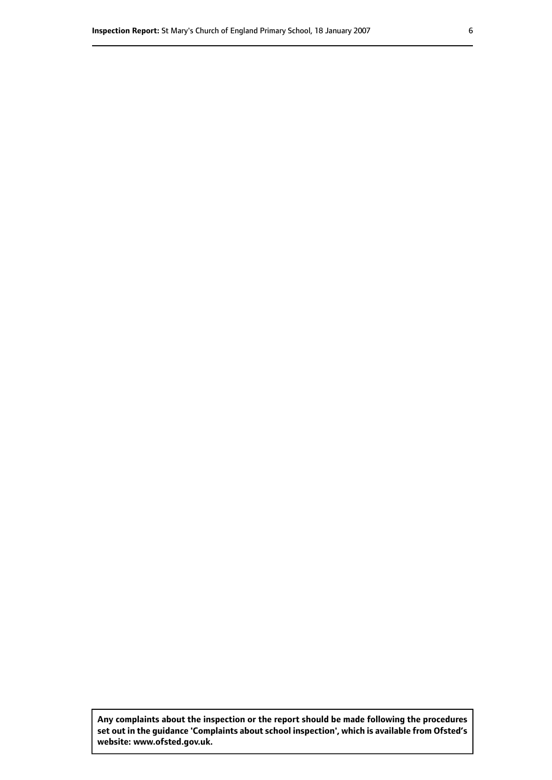**Any complaints about the inspection or the report should be made following the procedures set out inthe guidance 'Complaints about school inspection', whichis available from Ofsted's website: www.ofsted.gov.uk.**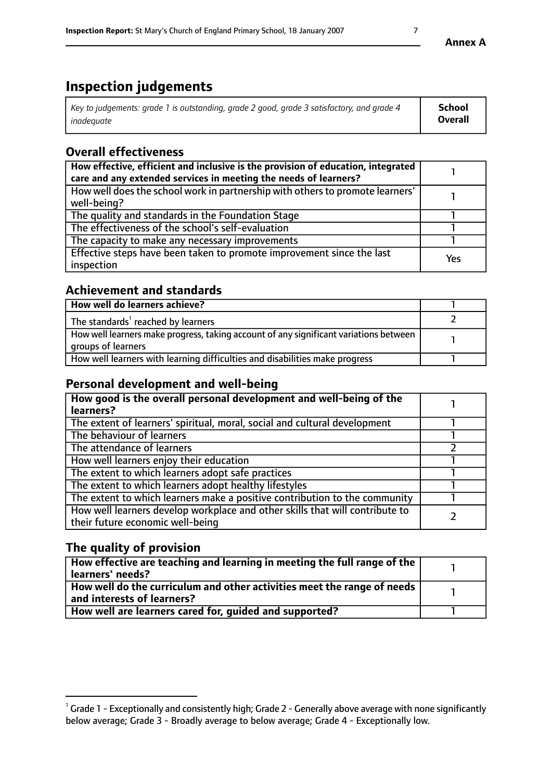**Inspection judgements**

| $^{\dagger}$ Key to judgements: grade 1 is outstanding, grade 2 good, grade 3 satisfactory, and grade 4 | <b>School</b>  |
|---------------------------------------------------------------------------------------------------------|----------------|
| inadeguate                                                                                              | <b>Overall</b> |

# **Overall effectiveness**

| How effective, efficient and inclusive is the provision of education, integrated<br>care and any extended services in meeting the needs of learners? |     |
|------------------------------------------------------------------------------------------------------------------------------------------------------|-----|
| How well does the school work in partnership with others to promote learners'<br>well-being?                                                         |     |
| The quality and standards in the Foundation Stage                                                                                                    |     |
| The effectiveness of the school's self-evaluation                                                                                                    |     |
| The capacity to make any necessary improvements                                                                                                      |     |
| Effective steps have been taken to promote improvement since the last<br>inspection                                                                  | Yes |

# **Achievement and standards**

| How well do learners achieve?                                                                               |  |
|-------------------------------------------------------------------------------------------------------------|--|
| The standards <sup>1</sup> reached by learners                                                              |  |
| How well learners make progress, taking account of any significant variations between<br>groups of learners |  |
| How well learners with learning difficulties and disabilities make progress                                 |  |

# **Personal development and well-being**

| How good is the overall personal development and well-being of the<br>learners?                                  |  |
|------------------------------------------------------------------------------------------------------------------|--|
| The extent of learners' spiritual, moral, social and cultural development                                        |  |
| The behaviour of learners                                                                                        |  |
| The attendance of learners                                                                                       |  |
| How well learners enjoy their education                                                                          |  |
| The extent to which learners adopt safe practices                                                                |  |
| The extent to which learners adopt healthy lifestyles                                                            |  |
| The extent to which learners make a positive contribution to the community                                       |  |
| How well learners develop workplace and other skills that will contribute to<br>their future economic well-being |  |

# **The quality of provision**

| How effective are teaching and learning in meeting the full range of the<br>learners' needs?          |  |
|-------------------------------------------------------------------------------------------------------|--|
| How well do the curriculum and other activities meet the range of needs<br>and interests of learners? |  |
| How well are learners cared for, quided and supported?                                                |  |

 $^1$  Grade 1 - Exceptionally and consistently high; Grade 2 - Generally above average with none significantly below average; Grade 3 - Broadly average to below average; Grade 4 - Exceptionally low.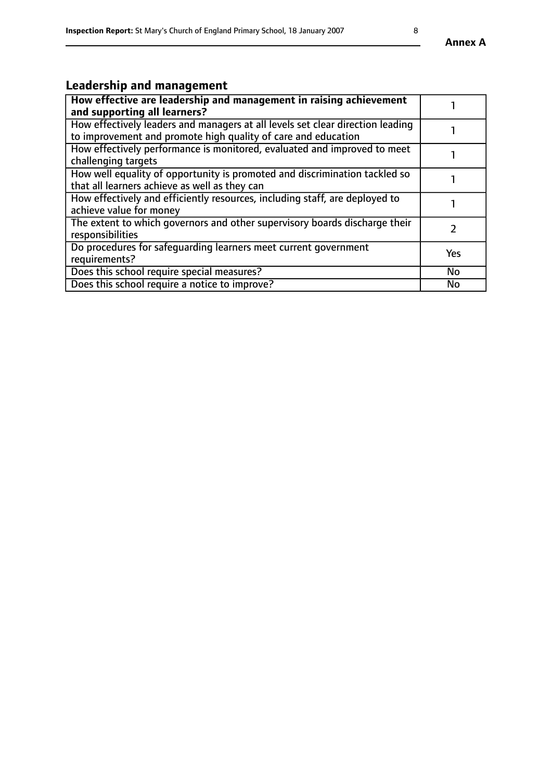# **Leadership and management**

| How effective are leadership and management in raising achievement<br>and supporting all learners?                                              |           |
|-------------------------------------------------------------------------------------------------------------------------------------------------|-----------|
| How effectively leaders and managers at all levels set clear direction leading<br>to improvement and promote high quality of care and education |           |
| How effectively performance is monitored, evaluated and improved to meet<br>challenging targets                                                 |           |
| How well equality of opportunity is promoted and discrimination tackled so<br>that all learners achieve as well as they can                     |           |
| How effectively and efficiently resources, including staff, are deployed to<br>achieve value for money                                          |           |
| The extent to which governors and other supervisory boards discharge their<br>responsibilities                                                  |           |
| Do procedures for safequarding learners meet current government<br>requirements?                                                                | Yes       |
| Does this school require special measures?                                                                                                      | No        |
| Does this school require a notice to improve?                                                                                                   | <b>No</b> |